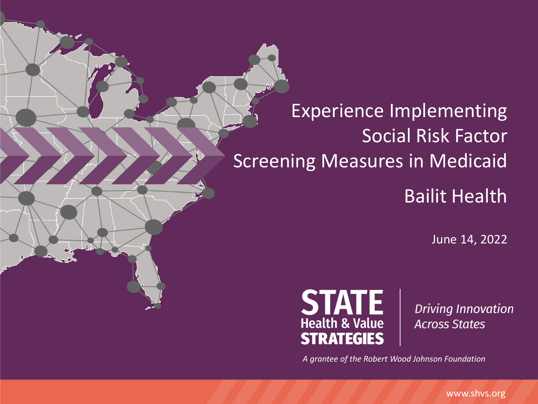#### Experience Implementing Social Risk Factor Screening Measures in Medicaid Bailit Health

June 14, 2022



**Driving Innovation Across States** 

*A grantee of the Robert Wood Johnson Foundation*

www.shvs.org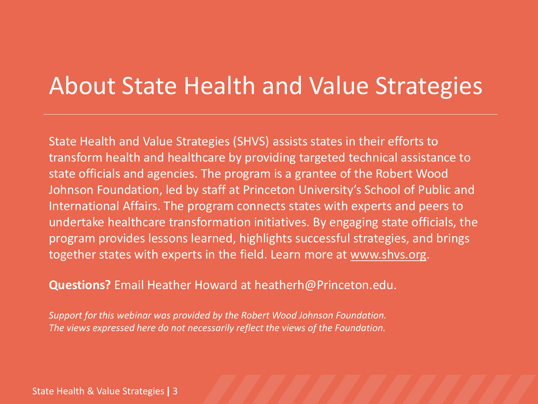### About State Health and Value Strategies

State Health and Value Strategies (SHVS) assists states in their efforts to transform health and healthcare by providing targeted technical assistance to state officials and agencies. The program is a grantee of the Robert Wood Johnson Foundation, led by staff at Princeton University's School of Public and International Affairs. The program connects states with experts and peers to undertake healthcare transformation initiatives. By engaging state officials, the program provides lessons learned, highlights successful strategies, and brings together states with experts in the field. Learn more at www.shvs.org.

**Questions?** Email Heather Howard at heatherh@Princeton.edu.

*Support for this webinar was provided by the Robert Wood Johnson Foundation. The views expressed here do not necessarily reflect the views of the Foundation.*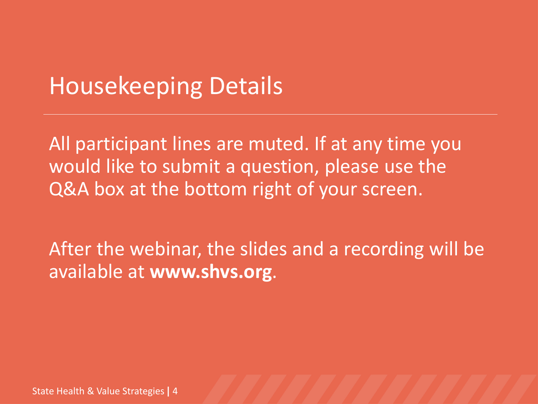#### Housekeeping Details

All participant lines are muted. If at any time you would like to submit a question, please use the Q&A box at the bottom right of your screen.

After the webinar, the slides and a recording will be available at **www.shvs.org**.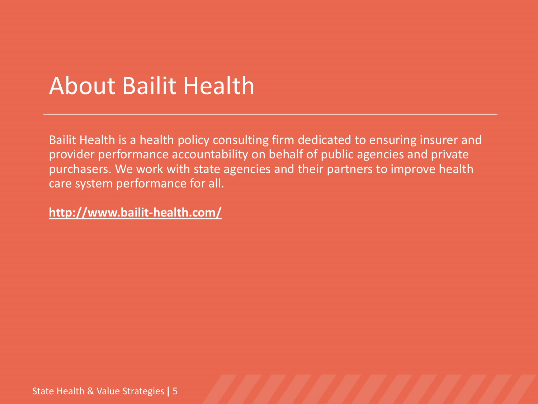### About Bailit Health

Bailit Health is a health policy consulting firm dedicated to ensuring insurer and provider performance accountability on behalf of public agencies and private purchasers. We work with state agencies and their partners to improve health care system performance for all.

**http://www.bailit-health.com/**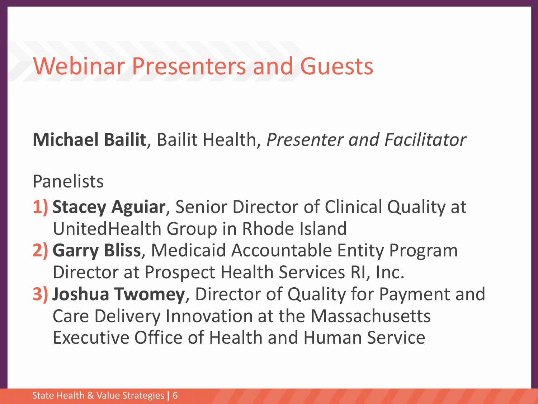#### Webinar Presenters and Guests

**Michael Bailit**, Bailit Health, *Presenter and Facilitator*

Panelists

- **1) Stacey Aguiar**, Senior Director of Clinical Quality at UnitedHealth Group in Rhode Island
- **2) Garry Bliss**, Medicaid Accountable Entity Program Director at Prospect Health Services RI, Inc.
- **3) Joshua Twomey**, Director of Quality for Payment and Care Delivery Innovation at the Massachusetts Executive Office of Health and Human Service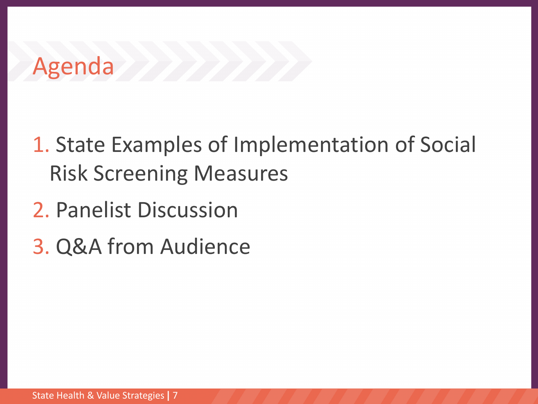### Agenda **Manual**

- 1. State Examples of Implementation of Social Risk Screening Measures
- 2. Panelist Discussion
- 3. Q&A from Audience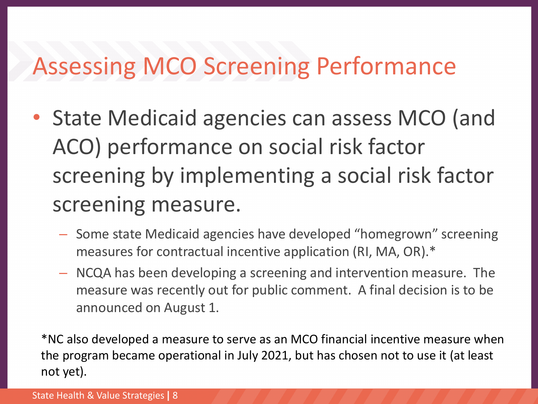### Assessing MCO Screening Performance

- State Medicaid agencies can assess MCO (and ACO) performance on social risk factor screening by implementing a social risk factor screening measure.
	- Some state Medicaid agencies have developed "homegrown" screening measures for contractual incentive application (RI, MA, OR).\*
	- NCQA has been developing a screening and intervention measure. The measure was recently out for public comment. A final decision is to be announced on August 1.

\*NC also developed a measure to serve as an MCO financial incentive measure when the program became operational in July 2021, but has chosen not to use it (at least not yet).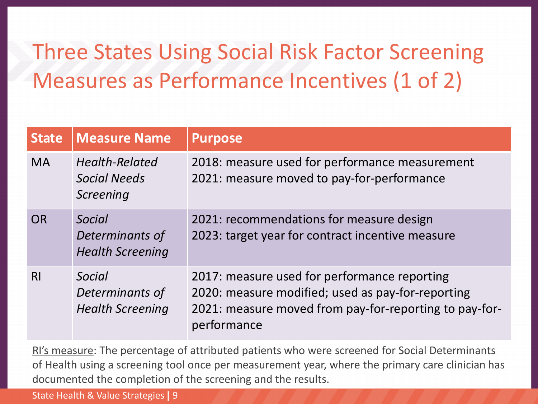### Three States Using Social Risk Factor Screening Measures as Performance Incentives (1 of 2)

| <b>State</b>   | <b>Measure Name</b>                                  | <b>Purpose</b>                                                                                                                                                             |
|----------------|------------------------------------------------------|----------------------------------------------------------------------------------------------------------------------------------------------------------------------------|
| <b>MA</b>      | <b>Health-Related</b><br>Social Needs<br>Screening   | 2018: measure used for performance measurement<br>2021: measure moved to pay-for-performance                                                                               |
| <b>OR</b>      | Social<br>Determinants of<br><b>Health Screening</b> | 2021: recommendations for measure design<br>2023: target year for contract incentive measure                                                                               |
| R <sub>l</sub> | Social<br>Determinants of<br><b>Health Screening</b> | 2017: measure used for performance reporting<br>2020: measure modified; used as pay-for-reporting<br>2021: measure moved from pay-for-reporting to pay-for-<br>performance |

RI's measure: The percentage of attributed patients who were screened for Social Determinants of Health using a screening tool once per measurement year, where the primary care clinician has documented the completion of the screening and the results.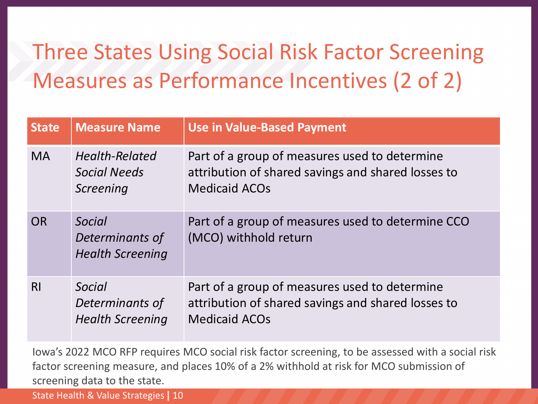### Three States Using Social Risk Factor Screening Measures as Performance Incentives (2 of 2)

| <b>State</b>   | <b>Measure Name</b>                                       | <b>Use in Value-Based Payment</b>                                                                                           |
|----------------|-----------------------------------------------------------|-----------------------------------------------------------------------------------------------------------------------------|
| <b>MA</b>      | <b>Health-Related</b><br><b>Social Needs</b><br>Screening | Part of a group of measures used to determine<br>attribution of shared savings and shared losses to<br><b>Medicaid ACOs</b> |
| <b>OR</b>      | Social<br>Determinants of<br><b>Health Screening</b>      | Part of a group of measures used to determine CCO<br>(MCO) withhold return                                                  |
| R <sub>l</sub> | Social<br>Determinants of<br><b>Health Screening</b>      | Part of a group of measures used to determine<br>attribution of shared savings and shared losses to<br><b>Medicaid ACOs</b> |

Iowa's 2022 MCO RFP requires MCO social risk factor screening, to be assessed with a social risk factor screening measure, and places 10% of a 2% withhold at risk for MCO submission of screening data to the state.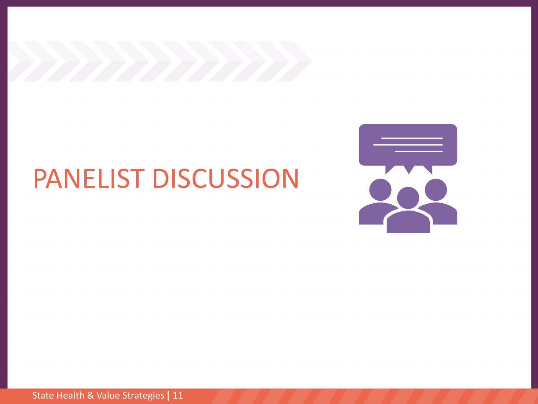

## PANELIST DISCUSSION

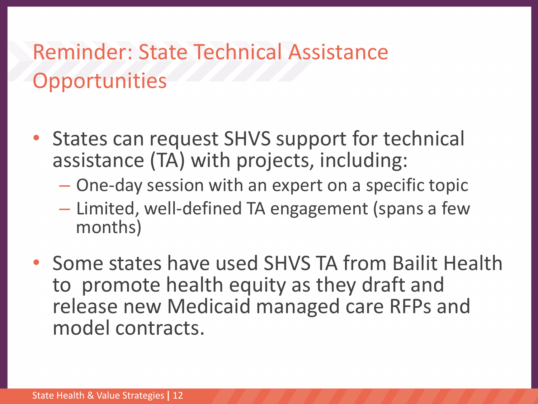#### Reminder: State Technical Assistance **Opportunities**

- States can request SHVS support for technical assistance (TA) with projects, including:
	- One-day session with an expert on a specific topic
	- Limited, well-defined TA engagement (spans a few months)
- Some states have used SHVS TA from Bailit Health to promote health equity as they draft and release new Medicaid managed care RFPs and model contracts.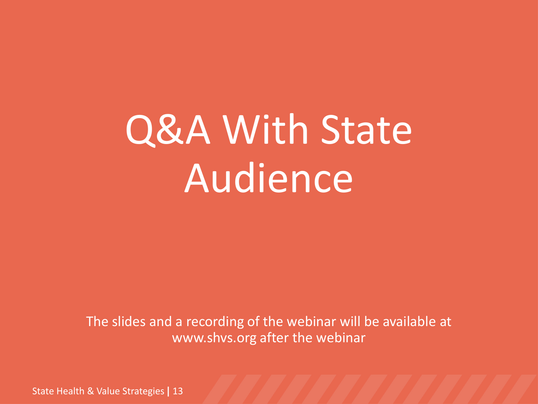# Q&A With State Audience

The slides and a recording of the webinar will be available at www.shvs.org after the webinar